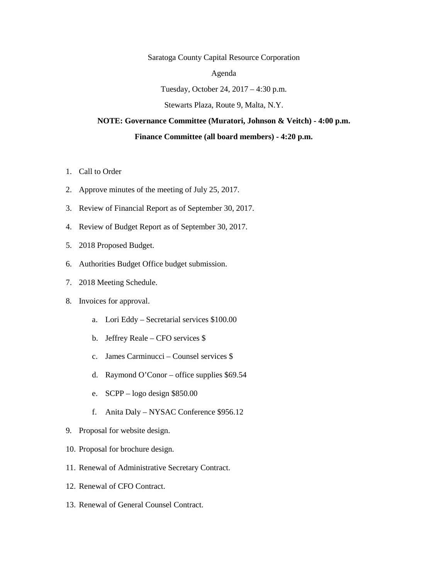Saratoga County Capital Resource Corporation

Agenda

Tuesday, October 24, 2017 – 4:30 p.m.

Stewarts Plaza, Route 9, Malta, N.Y.

## **NOTE: Governance Committee (Muratori, Johnson & Veitch) - 4:00 p.m.**

## **Finance Committee (all board members) - 4:20 p.m.**

- 1. Call to Order
- 2. Approve minutes of the meeting of July 25, 2017.
- 3. Review of Financial Report as of September 30, 2017.
- 4. Review of Budget Report as of September 30, 2017.
- 5. 2018 Proposed Budget.
- 6. Authorities Budget Office budget submission.
- 7. 2018 Meeting Schedule.
- 8. Invoices for approval.
	- a. Lori Eddy Secretarial services \$100.00
	- b. Jeffrey Reale CFO services \$
	- c. James Carminucci Counsel services \$
	- d. Raymond O'Conor office supplies \$69.54
	- e. SCPP logo design \$850.00
	- f. Anita Daly NYSAC Conference \$956.12
- 9. Proposal for website design.
- 10. Proposal for brochure design.
- 11. Renewal of Administrative Secretary Contract.
- 12. Renewal of CFO Contract.
- 13. Renewal of General Counsel Contract.